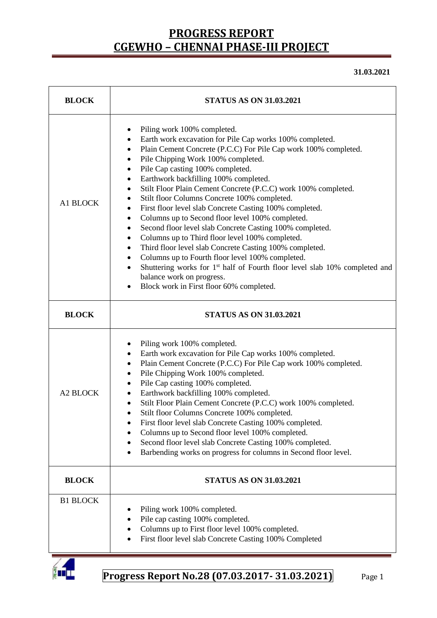**31.03.2021**

| <b>BLOCK</b>    | <b>STATUS AS ON 31.03.2021</b>                                                                                                                                                                                                                                                                                                                                                                                                                                                                                                                                                                                                                                                                                                                                                                                                                                                                                                                                                                |  |  |  |  |  |
|-----------------|-----------------------------------------------------------------------------------------------------------------------------------------------------------------------------------------------------------------------------------------------------------------------------------------------------------------------------------------------------------------------------------------------------------------------------------------------------------------------------------------------------------------------------------------------------------------------------------------------------------------------------------------------------------------------------------------------------------------------------------------------------------------------------------------------------------------------------------------------------------------------------------------------------------------------------------------------------------------------------------------------|--|--|--|--|--|
| A1 BLOCK        | Piling work 100% completed.<br>٠<br>Earth work excavation for Pile Cap works 100% completed.<br>٠<br>Plain Cement Concrete (P.C.C) For Pile Cap work 100% completed.<br>٠<br>Pile Chipping Work 100% completed.<br>٠<br>Pile Cap casting 100% completed.<br>٠<br>Earthwork backfilling 100% completed.<br>٠<br>Stilt Floor Plain Cement Concrete (P.C.C) work 100% completed.<br>$\bullet$<br>Stilt floor Columns Concrete 100% completed.<br>٠<br>First floor level slab Concrete Casting 100% completed.<br>٠<br>Columns up to Second floor level 100% completed.<br>٠<br>Second floor level slab Concrete Casting 100% completed.<br>٠<br>Columns up to Third floor level 100% completed.<br>٠<br>Third floor level slab Concrete Casting 100% completed.<br>٠<br>Columns up to Fourth floor level 100% completed.<br>٠<br>Shuttering works for 1 <sup>st</sup> half of Fourth floor level slab 10% completed and<br>balance work on progress.<br>Block work in First floor 60% completed. |  |  |  |  |  |
| <b>BLOCK</b>    | <b>STATUS AS ON 31.03.2021</b>                                                                                                                                                                                                                                                                                                                                                                                                                                                                                                                                                                                                                                                                                                                                                                                                                                                                                                                                                                |  |  |  |  |  |
| <b>A2 BLOCK</b> | Piling work 100% completed.<br>٠<br>Earth work excavation for Pile Cap works 100% completed.<br>٠<br>Plain Cement Concrete (P.C.C) For Pile Cap work 100% completed.<br>٠<br>Pile Chipping Work 100% completed.<br>$\bullet$<br>Pile Cap casting 100% completed.<br>Earthwork backfilling 100% completed.<br>٠<br>Stilt Floor Plain Cement Concrete (P.C.C) work 100% completed.<br>٠<br>Stilt floor Columns Concrete 100% completed.<br>First floor level slab Concrete Casting 100% completed.<br>Columns up to Second floor level 100% completed.<br>Second floor level slab Concrete Casting 100% completed.<br>٠<br>Barbending works on progress for columns in Second floor level.<br>$\bullet$                                                                                                                                                                                                                                                                                         |  |  |  |  |  |
| <b>BLOCK</b>    | <b>STATUS AS ON 31.03.2021</b>                                                                                                                                                                                                                                                                                                                                                                                                                                                                                                                                                                                                                                                                                                                                                                                                                                                                                                                                                                |  |  |  |  |  |
| <b>B1 BLOCK</b> | Piling work 100% completed.<br>Pile cap casting 100% completed.<br>Columns up to First floor level 100% completed.<br>First floor level slab Concrete Casting 100% Completed<br>$\bullet$                                                                                                                                                                                                                                                                                                                                                                                                                                                                                                                                                                                                                                                                                                                                                                                                     |  |  |  |  |  |

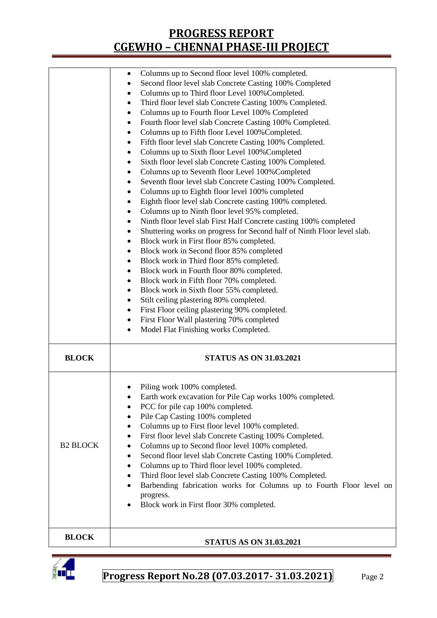|                 | Columns up to Second floor level 100% completed.<br>Second floor level slab Concrete Casting 100% Completed<br>Columns up to Third floor Level 100% Completed.<br>٠<br>Third floor level slab Concrete Casting 100% Completed.<br>٠<br>Columns up to Fourth floor Level 100% Completed<br>$\bullet$<br>Fourth floor level slab Concrete Casting 100% Completed.<br>$\bullet$<br>Columns up to Fifth floor Level 100% Completed.<br>$\bullet$<br>Fifth floor level slab Concrete Casting 100% Completed.<br>٠<br>Columns up to Sixth floor Level 100% Completed<br>$\bullet$<br>Sixth floor level slab Concrete Casting 100% Completed.<br>٠<br>Columns up to Seventh floor Level 100% Completed<br>$\bullet$<br>Seventh floor level slab Concrete Casting 100% Completed.<br>٠<br>Columns up to Eighth floor level 100% completed<br>$\bullet$<br>Eighth floor level slab Concrete casting 100% completed.<br>$\bullet$<br>Columns up to Ninth floor level 95% completed.<br>$\bullet$<br>Ninth floor level slab First Half Concrete casting 100% completed<br>$\bullet$<br>Shuttering works on progress for Second half of Ninth Floor level slab.<br>٠<br>Block work in First floor 85% completed.<br>٠<br>Block work in Second floor 85% completed<br>٠<br>Block work in Third floor 85% completed.<br>٠<br>Block work in Fourth floor 80% completed.<br>٠<br>Block work in Fifth floor 70% completed.<br>٠<br>Block work in Sixth floor 55% completed.<br>٠<br>Stilt ceiling plastering 80% completed.<br>٠<br>First Floor ceiling plastering 90% completed.<br>٠<br>First Floor Wall plastering 70% completed<br>٠<br>Model Flat Finishing works Completed.<br>$\bullet$ |
|-----------------|-------------------------------------------------------------------------------------------------------------------------------------------------------------------------------------------------------------------------------------------------------------------------------------------------------------------------------------------------------------------------------------------------------------------------------------------------------------------------------------------------------------------------------------------------------------------------------------------------------------------------------------------------------------------------------------------------------------------------------------------------------------------------------------------------------------------------------------------------------------------------------------------------------------------------------------------------------------------------------------------------------------------------------------------------------------------------------------------------------------------------------------------------------------------------------------------------------------------------------------------------------------------------------------------------------------------------------------------------------------------------------------------------------------------------------------------------------------------------------------------------------------------------------------------------------------------------------------------------------------------------------------------------------------------------------|
| <b>BLOCK</b>    | <b>STATUS AS ON 31.03.2021</b>                                                                                                                                                                                                                                                                                                                                                                                                                                                                                                                                                                                                                                                                                                                                                                                                                                                                                                                                                                                                                                                                                                                                                                                                                                                                                                                                                                                                                                                                                                                                                                                                                                                |
| <b>B2 BLOCK</b> | Piling work 100% completed.<br>Earth work excavation for Pile Cap works 100% completed.<br>PCC for pile cap 100% completed.<br>Pile Cap Casting 100% completed<br>Columns up to First floor level 100% completed.<br>٠<br>First floor level slab Concrete Casting 100% Completed.<br>٠<br>Columns up to Second floor level 100% completed.<br>٠<br>Second floor level slab Concrete Casting 100% Completed.<br>$\bullet$<br>Columns up to Third floor level 100% completed.<br>٠<br>Third floor level slab Concrete Casting 100% Completed.<br>٠<br>Barbending fabrication works for Columns up to Fourth Floor level on<br>$\bullet$<br>progress.<br>Block work in First floor 30% completed.                                                                                                                                                                                                                                                                                                                                                                                                                                                                                                                                                                                                                                                                                                                                                                                                                                                                                                                                                                                |
| <b>BLOCK</b>    | <b>STATUS AS ON 31.03.2021</b>                                                                                                                                                                                                                                                                                                                                                                                                                                                                                                                                                                                                                                                                                                                                                                                                                                                                                                                                                                                                                                                                                                                                                                                                                                                                                                                                                                                                                                                                                                                                                                                                                                                |

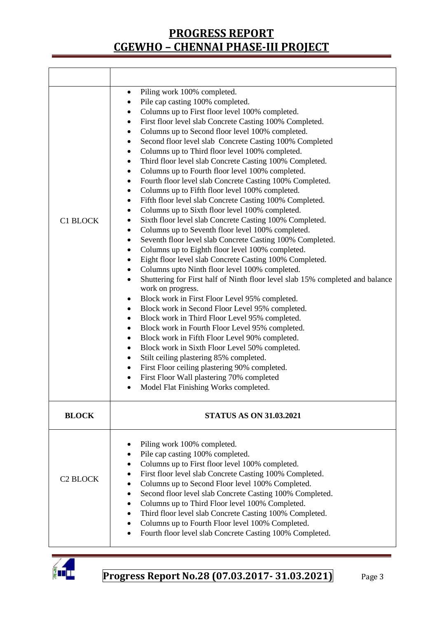| <b>C1 BLOCK</b>            | Piling work 100% completed.<br>$\bullet$<br>Pile cap casting 100% completed.<br>٠<br>Columns up to First floor level 100% completed.<br>٠<br>First floor level slab Concrete Casting 100% Completed.<br>٠<br>Columns up to Second floor level 100% completed.<br>٠<br>Second floor level slab Concrete Casting 100% Completed<br>٠<br>Columns up to Third floor level 100% completed.<br>٠<br>Third floor level slab Concrete Casting 100% Completed.<br>٠<br>Columns up to Fourth floor level 100% completed.<br>٠<br>Fourth floor level slab Concrete Casting 100% Completed.<br>٠<br>Columns up to Fifth floor level 100% completed.<br>٠<br>Fifth floor level slab Concrete Casting 100% Completed.<br>٠<br>Columns up to Sixth floor level 100% completed.<br>٠<br>Sixth floor level slab Concrete Casting 100% Completed.<br>٠<br>Columns up to Seventh floor level 100% completed.<br>٠<br>Seventh floor level slab Concrete Casting 100% Completed.<br>٠<br>Columns up to Eighth floor level 100% completed.<br>٠<br>Eight floor level slab Concrete Casting 100% Completed.<br>٠<br>Columns upto Ninth floor level 100% completed.<br>٠<br>Shuttering for First half of Ninth floor level slab 15% completed and balance<br>$\bullet$<br>work on progress.<br>Block work in First Floor Level 95% completed.<br>٠<br>Block work in Second Floor Level 95% completed.<br>٠<br>Block work in Third Floor Level 95% completed.<br>٠<br>Block work in Fourth Floor Level 95% completed.<br>٠<br>Block work in Fifth Floor Level 90% completed.<br>٠<br>Block work in Sixth Floor Level 50% completed.<br>٠<br>Stilt ceiling plastering 85% completed.<br>٠<br>First Floor ceiling plastering 90% completed.<br>$\bullet$<br>First Floor Wall plastering 70% completed<br>٠<br>Model Flat Finishing Works completed. |
|----------------------------|--------------------------------------------------------------------------------------------------------------------------------------------------------------------------------------------------------------------------------------------------------------------------------------------------------------------------------------------------------------------------------------------------------------------------------------------------------------------------------------------------------------------------------------------------------------------------------------------------------------------------------------------------------------------------------------------------------------------------------------------------------------------------------------------------------------------------------------------------------------------------------------------------------------------------------------------------------------------------------------------------------------------------------------------------------------------------------------------------------------------------------------------------------------------------------------------------------------------------------------------------------------------------------------------------------------------------------------------------------------------------------------------------------------------------------------------------------------------------------------------------------------------------------------------------------------------------------------------------------------------------------------------------------------------------------------------------------------------------------------------------------------------------------------------------------------------------|
| <b>BLOCK</b>               | <b>STATUS AS ON 31.03.2021</b>                                                                                                                                                                                                                                                                                                                                                                                                                                                                                                                                                                                                                                                                                                                                                                                                                                                                                                                                                                                                                                                                                                                                                                                                                                                                                                                                                                                                                                                                                                                                                                                                                                                                                                                                                                                           |
| <b>C<sub>2</sub> BLOCK</b> | Piling work 100% completed.<br>Pile cap casting 100% completed.<br>٠<br>Columns up to First floor level 100% completed.<br>$\bullet$<br>First floor level slab Concrete Casting 100% Completed.<br>$\bullet$<br>Columns up to Second Floor level 100% Completed.<br>Second floor level slab Concrete Casting 100% Completed.<br>$\bullet$<br>Columns up to Third Floor level 100% Completed.<br>Third floor level slab Concrete Casting 100% Completed.<br>$\bullet$<br>Columns up to Fourth Floor level 100% Completed.<br>Fourth floor level slab Concrete Casting 100% Completed.                                                                                                                                                                                                                                                                                                                                                                                                                                                                                                                                                                                                                                                                                                                                                                                                                                                                                                                                                                                                                                                                                                                                                                                                                                     |

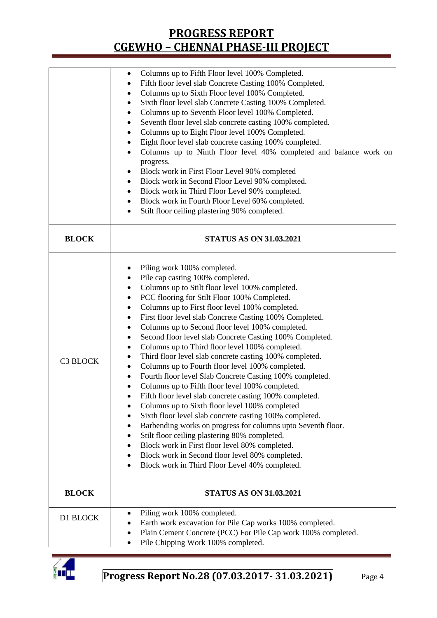|              | Columns up to Fifth Floor level 100% Completed.<br>٠                                                                                                                                                                                                                                                                                                                                                                                                                                                                                                                                                                                                                                                                                                                                                                                                                                                                                                                                                                                                                                                                                                                                                                                    |  |  |  |  |  |
|--------------|-----------------------------------------------------------------------------------------------------------------------------------------------------------------------------------------------------------------------------------------------------------------------------------------------------------------------------------------------------------------------------------------------------------------------------------------------------------------------------------------------------------------------------------------------------------------------------------------------------------------------------------------------------------------------------------------------------------------------------------------------------------------------------------------------------------------------------------------------------------------------------------------------------------------------------------------------------------------------------------------------------------------------------------------------------------------------------------------------------------------------------------------------------------------------------------------------------------------------------------------|--|--|--|--|--|
|              | Fifth floor level slab Concrete Casting 100% Completed.<br>$\bullet$                                                                                                                                                                                                                                                                                                                                                                                                                                                                                                                                                                                                                                                                                                                                                                                                                                                                                                                                                                                                                                                                                                                                                                    |  |  |  |  |  |
|              | Columns up to Sixth Floor level 100% Completed.                                                                                                                                                                                                                                                                                                                                                                                                                                                                                                                                                                                                                                                                                                                                                                                                                                                                                                                                                                                                                                                                                                                                                                                         |  |  |  |  |  |
|              |                                                                                                                                                                                                                                                                                                                                                                                                                                                                                                                                                                                                                                                                                                                                                                                                                                                                                                                                                                                                                                                                                                                                                                                                                                         |  |  |  |  |  |
|              | Sixth floor level slab Concrete Casting 100% Completed.<br>٠                                                                                                                                                                                                                                                                                                                                                                                                                                                                                                                                                                                                                                                                                                                                                                                                                                                                                                                                                                                                                                                                                                                                                                            |  |  |  |  |  |
|              | Columns up to Seventh Floor level 100% Completed.<br>٠                                                                                                                                                                                                                                                                                                                                                                                                                                                                                                                                                                                                                                                                                                                                                                                                                                                                                                                                                                                                                                                                                                                                                                                  |  |  |  |  |  |
|              | Seventh floor level slab concrete casting 100% completed.<br>٠                                                                                                                                                                                                                                                                                                                                                                                                                                                                                                                                                                                                                                                                                                                                                                                                                                                                                                                                                                                                                                                                                                                                                                          |  |  |  |  |  |
|              | Columns up to Eight Floor level 100% Completed.<br>٠                                                                                                                                                                                                                                                                                                                                                                                                                                                                                                                                                                                                                                                                                                                                                                                                                                                                                                                                                                                                                                                                                                                                                                                    |  |  |  |  |  |
|              | Eight floor level slab concrete casting 100% completed.<br>٠                                                                                                                                                                                                                                                                                                                                                                                                                                                                                                                                                                                                                                                                                                                                                                                                                                                                                                                                                                                                                                                                                                                                                                            |  |  |  |  |  |
|              | Columns up to Ninth Floor level 40% completed and balance work on<br>$\bullet$                                                                                                                                                                                                                                                                                                                                                                                                                                                                                                                                                                                                                                                                                                                                                                                                                                                                                                                                                                                                                                                                                                                                                          |  |  |  |  |  |
|              | progress.                                                                                                                                                                                                                                                                                                                                                                                                                                                                                                                                                                                                                                                                                                                                                                                                                                                                                                                                                                                                                                                                                                                                                                                                                               |  |  |  |  |  |
|              | Block work in First Floor Level 90% completed<br>٠                                                                                                                                                                                                                                                                                                                                                                                                                                                                                                                                                                                                                                                                                                                                                                                                                                                                                                                                                                                                                                                                                                                                                                                      |  |  |  |  |  |
|              | Block work in Second Floor Level 90% completed.<br>٠                                                                                                                                                                                                                                                                                                                                                                                                                                                                                                                                                                                                                                                                                                                                                                                                                                                                                                                                                                                                                                                                                                                                                                                    |  |  |  |  |  |
|              | Block work in Third Floor Level 90% completed.<br>٠                                                                                                                                                                                                                                                                                                                                                                                                                                                                                                                                                                                                                                                                                                                                                                                                                                                                                                                                                                                                                                                                                                                                                                                     |  |  |  |  |  |
|              |                                                                                                                                                                                                                                                                                                                                                                                                                                                                                                                                                                                                                                                                                                                                                                                                                                                                                                                                                                                                                                                                                                                                                                                                                                         |  |  |  |  |  |
|              | Block work in Fourth Floor Level 60% completed.<br>٠                                                                                                                                                                                                                                                                                                                                                                                                                                                                                                                                                                                                                                                                                                                                                                                                                                                                                                                                                                                                                                                                                                                                                                                    |  |  |  |  |  |
|              | Stilt floor ceiling plastering 90% completed.<br>$\bullet$                                                                                                                                                                                                                                                                                                                                                                                                                                                                                                                                                                                                                                                                                                                                                                                                                                                                                                                                                                                                                                                                                                                                                                              |  |  |  |  |  |
| <b>BLOCK</b> | <b>STATUS AS ON 31.03.2021</b>                                                                                                                                                                                                                                                                                                                                                                                                                                                                                                                                                                                                                                                                                                                                                                                                                                                                                                                                                                                                                                                                                                                                                                                                          |  |  |  |  |  |
|              |                                                                                                                                                                                                                                                                                                                                                                                                                                                                                                                                                                                                                                                                                                                                                                                                                                                                                                                                                                                                                                                                                                                                                                                                                                         |  |  |  |  |  |
| C3 BLOCK     | Piling work 100% completed.<br>٠<br>Pile cap casting 100% completed.<br>٠<br>Columns up to Stilt floor level 100% completed.<br>٠<br>PCC flooring for Stilt Floor 100% Completed.<br>٠<br>Columns up to First floor level 100% completed.<br>٠<br>First floor level slab Concrete Casting 100% Completed.<br>Columns up to Second floor level 100% completed.<br>٠<br>Second floor level slab Concrete Casting 100% Completed.<br>٠<br>Columns up to Third floor level 100% completed.<br>٠<br>Third floor level slab concrete casting 100% completed.<br>Columns up to Fourth floor level 100% completed.<br>٠<br>Fourth floor level Slab Concrete Casting 100% completed.<br>٠<br>Columns up to Fifth floor level 100% completed.<br>$\bullet$<br>Fifth floor level slab concrete casting 100% completed.<br>Columns up to Sixth floor level 100% completed<br>$\bullet$<br>Sixth floor level slab concrete casting 100% completed.<br>Barbending works on progress for columns upto Seventh floor.<br>Stilt floor ceiling plastering 80% completed.<br>Block work in First floor level 80% completed.<br>$\bullet$<br>Block work in Second floor level 80% completed.<br>Block work in Third Floor Level 40% completed.<br>$\bullet$ |  |  |  |  |  |
|              |                                                                                                                                                                                                                                                                                                                                                                                                                                                                                                                                                                                                                                                                                                                                                                                                                                                                                                                                                                                                                                                                                                                                                                                                                                         |  |  |  |  |  |
| <b>BLOCK</b> | <b>STATUS AS ON 31.03.2021</b>                                                                                                                                                                                                                                                                                                                                                                                                                                                                                                                                                                                                                                                                                                                                                                                                                                                                                                                                                                                                                                                                                                                                                                                                          |  |  |  |  |  |
|              | Piling work 100% completed.                                                                                                                                                                                                                                                                                                                                                                                                                                                                                                                                                                                                                                                                                                                                                                                                                                                                                                                                                                                                                                                                                                                                                                                                             |  |  |  |  |  |
| D1 BLOCK     | Earth work excavation for Pile Cap works 100% completed.                                                                                                                                                                                                                                                                                                                                                                                                                                                                                                                                                                                                                                                                                                                                                                                                                                                                                                                                                                                                                                                                                                                                                                                |  |  |  |  |  |
|              | Plain Cement Concrete (PCC) For Pile Cap work 100% completed.                                                                                                                                                                                                                                                                                                                                                                                                                                                                                                                                                                                                                                                                                                                                                                                                                                                                                                                                                                                                                                                                                                                                                                           |  |  |  |  |  |
|              |                                                                                                                                                                                                                                                                                                                                                                                                                                                                                                                                                                                                                                                                                                                                                                                                                                                                                                                                                                                                                                                                                                                                                                                                                                         |  |  |  |  |  |
|              | Pile Chipping Work 100% completed.                                                                                                                                                                                                                                                                                                                                                                                                                                                                                                                                                                                                                                                                                                                                                                                                                                                                                                                                                                                                                                                                                                                                                                                                      |  |  |  |  |  |

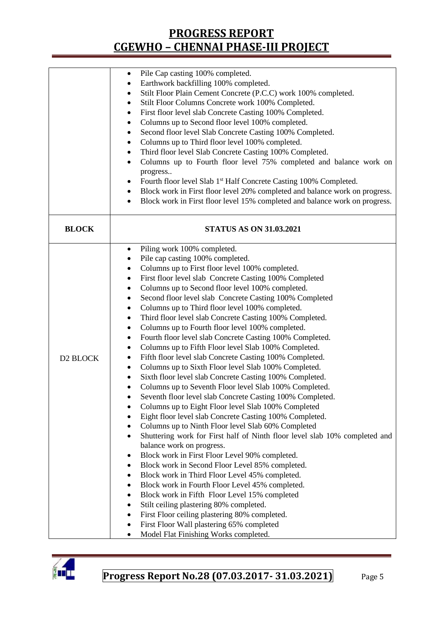|              | Pile Cap casting 100% completed.<br>$\bullet$                                                    |  |  |  |  |
|--------------|--------------------------------------------------------------------------------------------------|--|--|--|--|
|              | Earthwork backfilling 100% completed.                                                            |  |  |  |  |
|              | Stilt Floor Plain Cement Concrete (P.C.C) work 100% completed.<br>٠                              |  |  |  |  |
|              | Stilt Floor Columns Concrete work 100% Completed.<br>٠                                           |  |  |  |  |
|              | First floor level slab Concrete Casting 100% Completed.<br>٠                                     |  |  |  |  |
|              | Columns up to Second floor level 100% completed.<br>$\bullet$                                    |  |  |  |  |
|              | Second floor level Slab Concrete Casting 100% Completed.<br>٠                                    |  |  |  |  |
|              | Columns up to Third floor level 100% completed.<br>$\bullet$                                     |  |  |  |  |
|              | Third floor level Slab Concrete Casting 100% Completed.<br>٠                                     |  |  |  |  |
|              | Columns up to Fourth floor level 75% completed and balance work on<br>$\bullet$                  |  |  |  |  |
|              | progress                                                                                         |  |  |  |  |
|              | Fourth floor level Slab 1 <sup>st</sup> Half Concrete Casting 100% Completed.<br>٠               |  |  |  |  |
|              | Block work in First floor level 20% completed and balance work on progress.<br>٠                 |  |  |  |  |
|              | Block work in First floor level 15% completed and balance work on progress.<br>$\bullet$         |  |  |  |  |
|              |                                                                                                  |  |  |  |  |
| <b>BLOCK</b> | <b>STATUS AS ON 31.03.2021</b>                                                                   |  |  |  |  |
|              |                                                                                                  |  |  |  |  |
|              | Piling work 100% completed.<br>٠                                                                 |  |  |  |  |
|              | Pile cap casting 100% completed.<br>٠                                                            |  |  |  |  |
|              | Columns up to First floor level 100% completed.                                                  |  |  |  |  |
|              | First floor level slab Concrete Casting 100% Completed<br>٠                                      |  |  |  |  |
|              | Columns up to Second floor level 100% completed.<br>٠                                            |  |  |  |  |
|              | Second floor level slab Concrete Casting 100% Completed<br>٠                                     |  |  |  |  |
|              | Columns up to Third floor level 100% completed.                                                  |  |  |  |  |
|              | Third floor level slab Concrete Casting 100% Completed.                                          |  |  |  |  |
|              | Columns up to Fourth floor level 100% completed.<br>٠                                            |  |  |  |  |
|              | Fourth floor level slab Concrete Casting 100% Completed.<br>٠                                    |  |  |  |  |
|              | Columns up to Fifth Floor level Slab 100% Completed.<br>٠                                        |  |  |  |  |
| D2 BLOCK     | Fifth floor level slab Concrete Casting 100% Completed.<br>٠                                     |  |  |  |  |
|              | Columns up to Sixth Floor level Slab 100% Completed.<br>$\bullet$                                |  |  |  |  |
|              | Sixth floor level slab Concrete Casting 100% Completed.                                          |  |  |  |  |
|              | Columns up to Seventh Floor level Slab 100% Completed.<br>$\bullet$                              |  |  |  |  |
|              | Seventh floor level slab Concrete Casting 100% Completed.                                        |  |  |  |  |
|              | Columns up to Eight Floor level Slab 100% Completed                                              |  |  |  |  |
|              | Eight floor level slab Concrete Casting 100% Completed.                                          |  |  |  |  |
|              | Columns up to Ninth Floor level Slab 60% Completed<br>$\bullet$                                  |  |  |  |  |
|              | Shuttering work for First half of Ninth floor level slab 10% completed and<br>$\bullet$          |  |  |  |  |
|              | balance work on progress.                                                                        |  |  |  |  |
|              | Block work in First Floor Level 90% completed.                                                   |  |  |  |  |
|              | Block work in Second Floor Level 85% completed.<br>٠                                             |  |  |  |  |
|              |                                                                                                  |  |  |  |  |
|              | Block work in Third Floor Level 45% completed.                                                   |  |  |  |  |
|              | Block work in Fourth Floor Level 45% completed.<br>Block work in Fifth Floor Level 15% completed |  |  |  |  |
|              |                                                                                                  |  |  |  |  |
|              | Stilt ceiling plastering 80% completed.<br>First Floor ceiling plastering 80% completed.         |  |  |  |  |
|              |                                                                                                  |  |  |  |  |
|              | First Floor Wall plastering 65% completed                                                        |  |  |  |  |
|              | Model Flat Finishing Works completed.<br>٠                                                       |  |  |  |  |

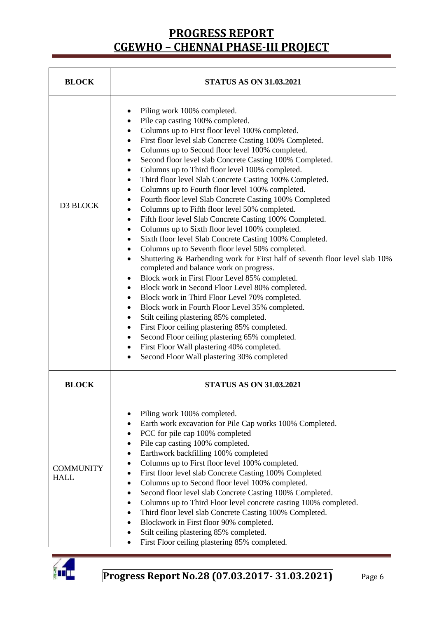| <b>BLOCK</b>                    | <b>STATUS AS ON 31.03.2021</b>                                                                                                                                                                                                                                                                                                                                                                                                                                                                                                                                                                                                                                                                                                                                                                                                                                                                                                                                                                                                                                                                                                                                                                                                                                                                                                                                                                                                                                                                                                     |
|---------------------------------|------------------------------------------------------------------------------------------------------------------------------------------------------------------------------------------------------------------------------------------------------------------------------------------------------------------------------------------------------------------------------------------------------------------------------------------------------------------------------------------------------------------------------------------------------------------------------------------------------------------------------------------------------------------------------------------------------------------------------------------------------------------------------------------------------------------------------------------------------------------------------------------------------------------------------------------------------------------------------------------------------------------------------------------------------------------------------------------------------------------------------------------------------------------------------------------------------------------------------------------------------------------------------------------------------------------------------------------------------------------------------------------------------------------------------------------------------------------------------------------------------------------------------------|
| D3 BLOCK                        | Piling work 100% completed.<br>Pile cap casting 100% completed.<br>٠<br>Columns up to First floor level 100% completed.<br>٠<br>First floor level slab Concrete Casting 100% Completed.<br>٠<br>Columns up to Second floor level 100% completed.<br>٠<br>Second floor level slab Concrete Casting 100% Completed.<br>٠<br>Columns up to Third floor level 100% completed.<br>٠<br>Third floor level Slab Concrete Casting 100% Completed.<br>٠<br>Columns up to Fourth floor level 100% completed.<br>$\bullet$<br>Fourth floor level Slab Concrete Casting 100% Completed<br>٠<br>Columns up to Fifth floor level 50% completed.<br>٠<br>Fifth floor level Slab Concrete Casting 100% Completed.<br>٠<br>Columns up to Sixth floor level 100% completed.<br>٠<br>Sixth floor level Slab Concrete Casting 100% Completed.<br>٠<br>Columns up to Seventh floor level 50% completed.<br>٠<br>Shuttering & Barbending work for First half of seventh floor level slab 10%<br>$\bullet$<br>completed and balance work on progress.<br>Block work in First Floor Level 85% completed.<br>٠<br>Block work in Second Floor Level 80% completed.<br>٠<br>Block work in Third Floor Level 70% completed.<br>٠<br>Block work in Fourth Floor Level 35% completed.<br>٠<br>Stilt ceiling plastering 85% completed.<br>٠<br>First Floor ceiling plastering 85% completed.<br>٠<br>Second Floor ceiling plastering 65% completed.<br>٠<br>First Floor Wall plastering 40% completed.<br>Second Floor Wall plastering 30% completed<br>$\bullet$ |
| <b>BLOCK</b>                    | <b>STATUS AS ON 31.03.2021</b>                                                                                                                                                                                                                                                                                                                                                                                                                                                                                                                                                                                                                                                                                                                                                                                                                                                                                                                                                                                                                                                                                                                                                                                                                                                                                                                                                                                                                                                                                                     |
| <b>COMMUNITY</b><br><b>HALL</b> | Piling work 100% completed.<br>Earth work excavation for Pile Cap works 100% Completed.<br>٠<br>PCC for pile cap 100% completed<br>$\bullet$<br>Pile cap casting 100% completed.<br>$\bullet$<br>Earthwork backfilling 100% completed<br>٠<br>Columns up to First floor level 100% completed.<br>٠<br>First floor level slab Concrete Casting 100% Completed<br>٠<br>Columns up to Second floor level 100% completed.<br>$\bullet$<br>Second floor level slab Concrete Casting 100% Completed.<br>٠<br>Columns up to Third Floor level concrete casting 100% completed.<br>$\bullet$<br>Third floor level slab Concrete Casting 100% Completed.<br>٠<br>Blockwork in First floor 90% completed.<br>$\bullet$<br>Stilt ceiling plastering 85% completed.<br>First Floor ceiling plastering 85% completed.<br>$\bullet$                                                                                                                                                                                                                                                                                                                                                                                                                                                                                                                                                                                                                                                                                                              |

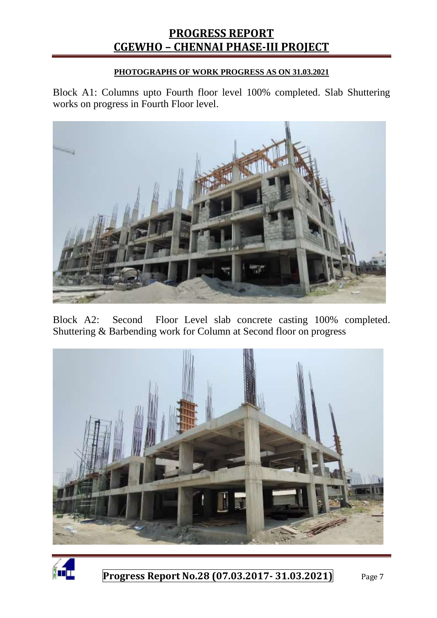#### **PHOTOGRAPHS OF WORK PROGRESS AS ON 31.03.2021**

Block A1: Columns upto Fourth floor level 100% completed. Slab Shuttering works on progress in Fourth Floor level.



Block A2: Second Floor Level slab concrete casting 100% completed. Shuttering & Barbending work for Column at Second floor on progress



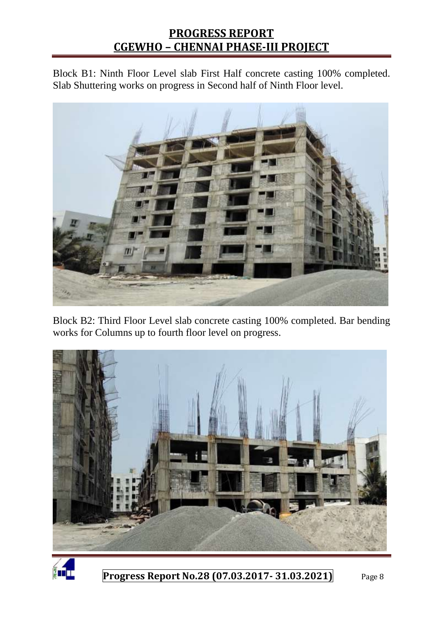Block B1: Ninth Floor Level slab First Half concrete casting 100% completed. Slab Shuttering works on progress in Second half of Ninth Floor level.



Block B2: Third Floor Level slab concrete casting 100% completed. Bar bending works for Columns up to fourth floor level on progress.



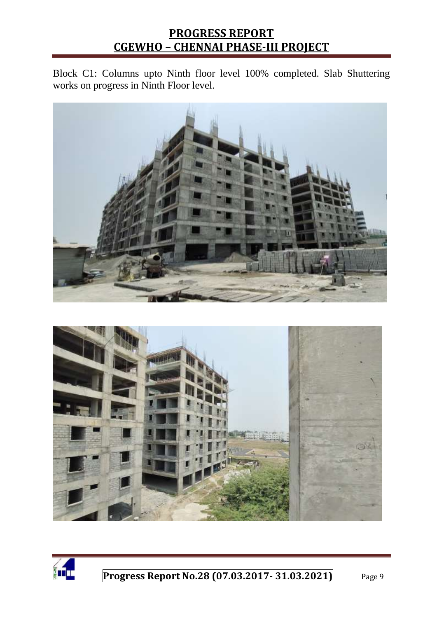Block C1: Columns upto Ninth floor level 100% completed. Slab Shuttering works on progress in Ninth Floor level.





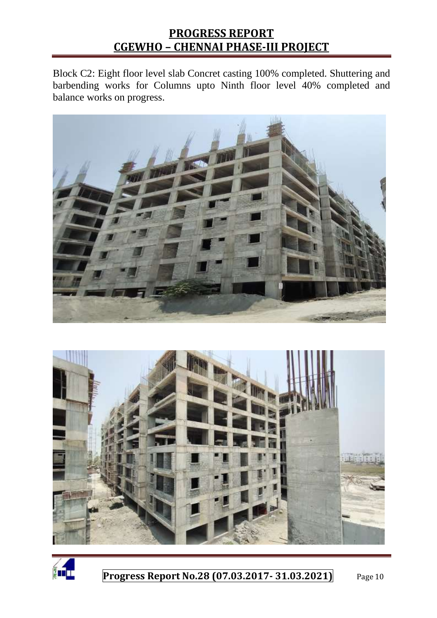Block C2: Eight floor level slab Concret casting 100% completed. Shuttering and barbending works for Columns upto Ninth floor level 40% completed and balance works on progress.





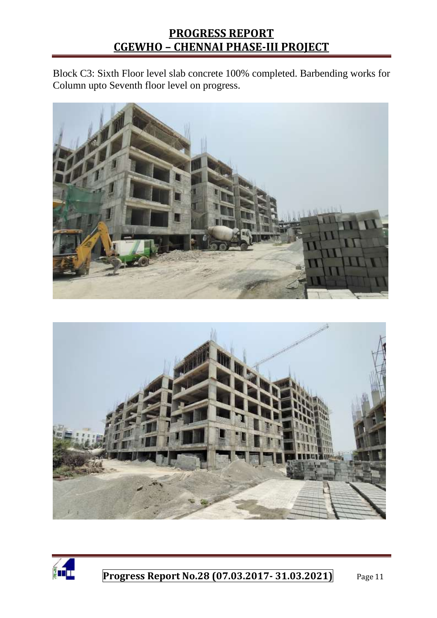Block C3: Sixth Floor level slab concrete 100% completed. Barbending works for Column upto Seventh floor level on progress.





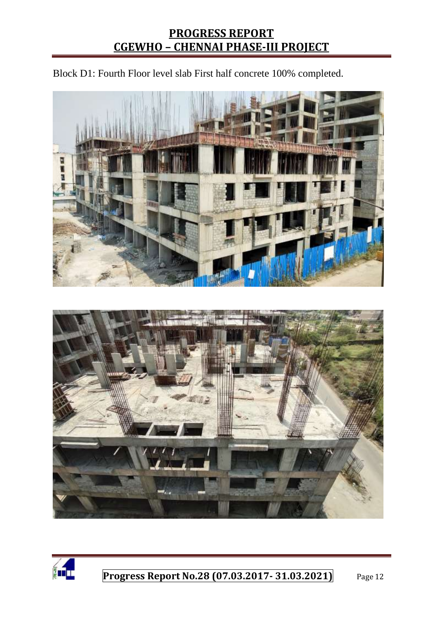Block D1: Fourth Floor level slab First half concrete 100% completed.





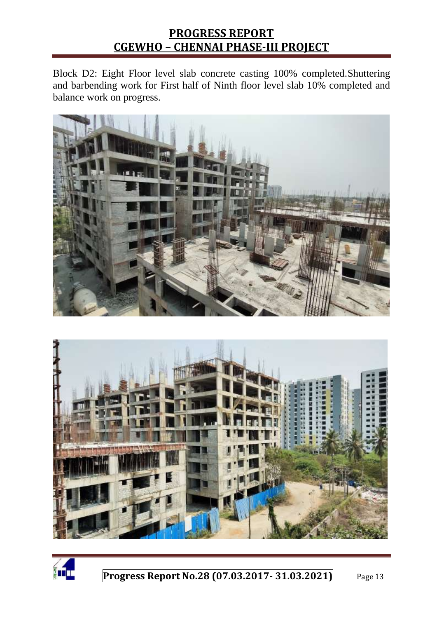Block D2: Eight Floor level slab concrete casting 100% completed.Shuttering and barbending work for First half of Ninth floor level slab 10% completed and balance work on progress.





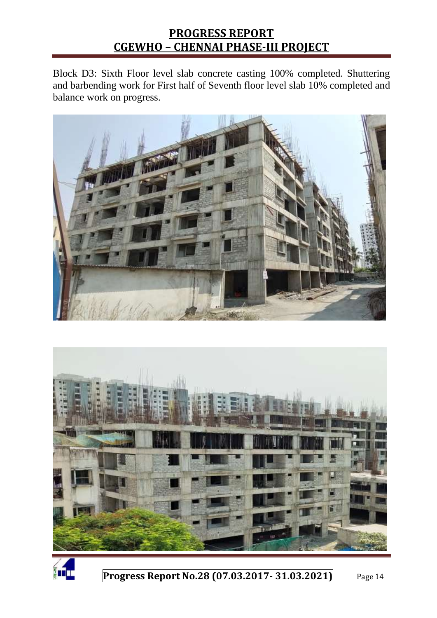Block D3: Sixth Floor level slab concrete casting 100% completed. Shuttering and barbending work for First half of Seventh floor level slab 10% completed and balance work on progress.





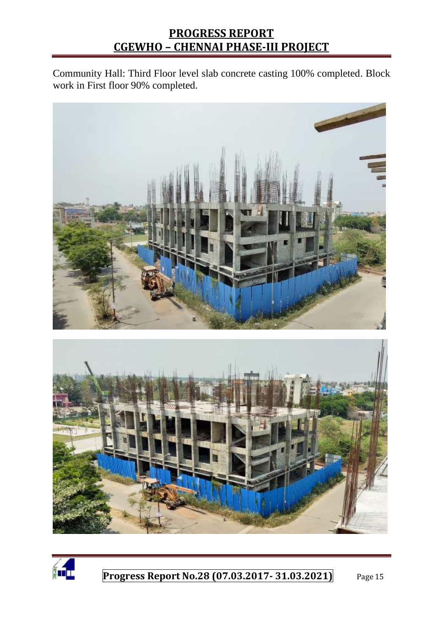Community Hall: Third Floor level slab concrete casting 100% completed. Block work in First floor 90% completed.





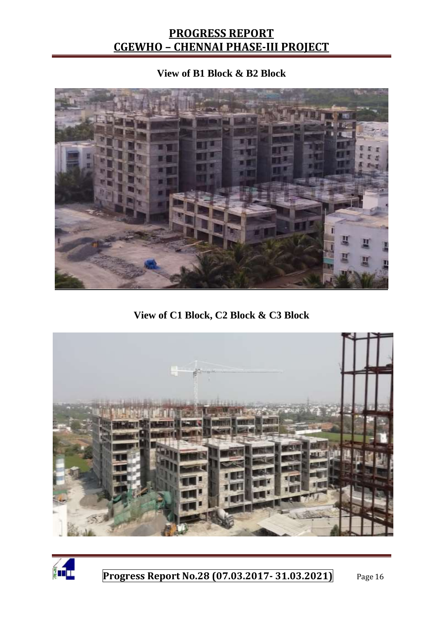#### **View of B1 Block & B2 Block**



**View of C1 Block, C2 Block & C3 Block**



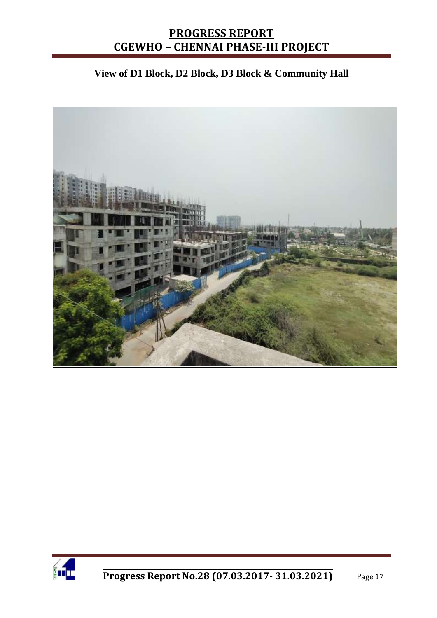#### **View of D1 Block, D2 Block, D3 Block & Community Hall**



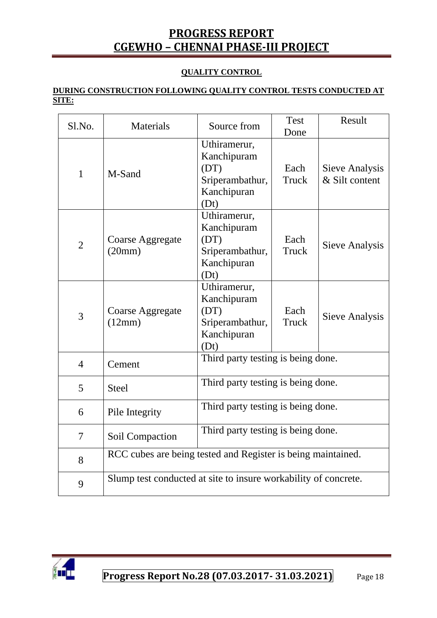#### **QUALITY CONTROL**

#### **DURING CONSTRUCTION FOLLOWING QUALITY CONTROL TESTS CONDUCTED AT SITE:**

| Sl.No.         | Materials                                                       | Source from                                                                   | <b>Test</b><br>Done | Result                           |
|----------------|-----------------------------------------------------------------|-------------------------------------------------------------------------------|---------------------|----------------------------------|
| $\mathbf{1}$   | M-Sand                                                          | Uthiramerur,<br>Kanchipuram<br>(DT)<br>Sriperambathur,<br>Kanchipuran<br>(Dt) | Each<br>Truck       | Sieve Analysis<br>& Silt content |
| $\overline{2}$ | Coarse Aggregate<br>(20mm)                                      | Uthiramerur,<br>Kanchipuram<br>(DT)<br>Sriperambathur,<br>Kanchipuran<br>(Dt) | Each<br>Truck       | Sieve Analysis                   |
| 3              | Coarse Aggregate<br>(12mm)                                      | Uthiramerur,<br>Kanchipuram<br>(DT)<br>Sriperambathur,<br>Kanchipuran<br>(Dt) | Each<br>Truck       | <b>Sieve Analysis</b>            |
| $\overline{4}$ | Cement                                                          | Third party testing is being done.                                            |                     |                                  |
| 5              | <b>Steel</b>                                                    | Third party testing is being done.                                            |                     |                                  |
| 6              | Pile Integrity                                                  | Third party testing is being done.                                            |                     |                                  |
| 7              | Soil Compaction                                                 | Third party testing is being done.                                            |                     |                                  |
| 8              | RCC cubes are being tested and Register is being maintained.    |                                                                               |                     |                                  |
| 9              | Slump test conducted at site to insure workability of concrete. |                                                                               |                     |                                  |

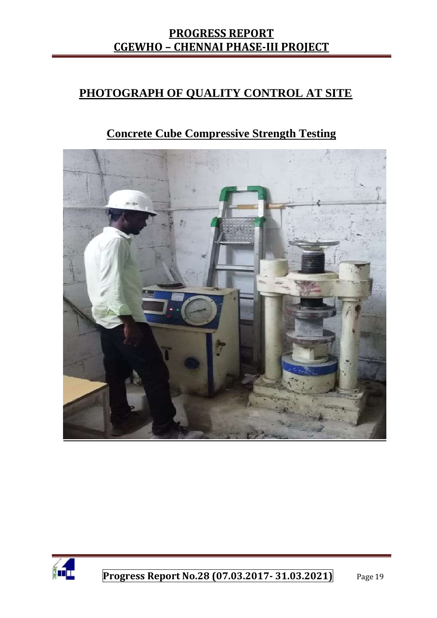### **PHOTOGRAPH OF QUALITY CONTROL AT SITE**

# **Concrete Cube Compressive Strength Testing**



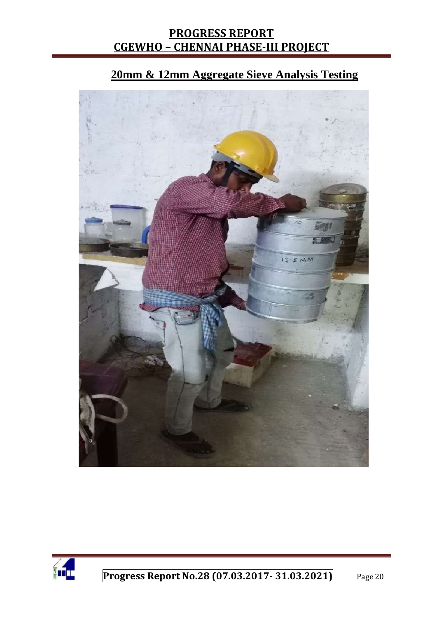

# **20mm & 12mm Aggregate Sieve Analysis Testing**